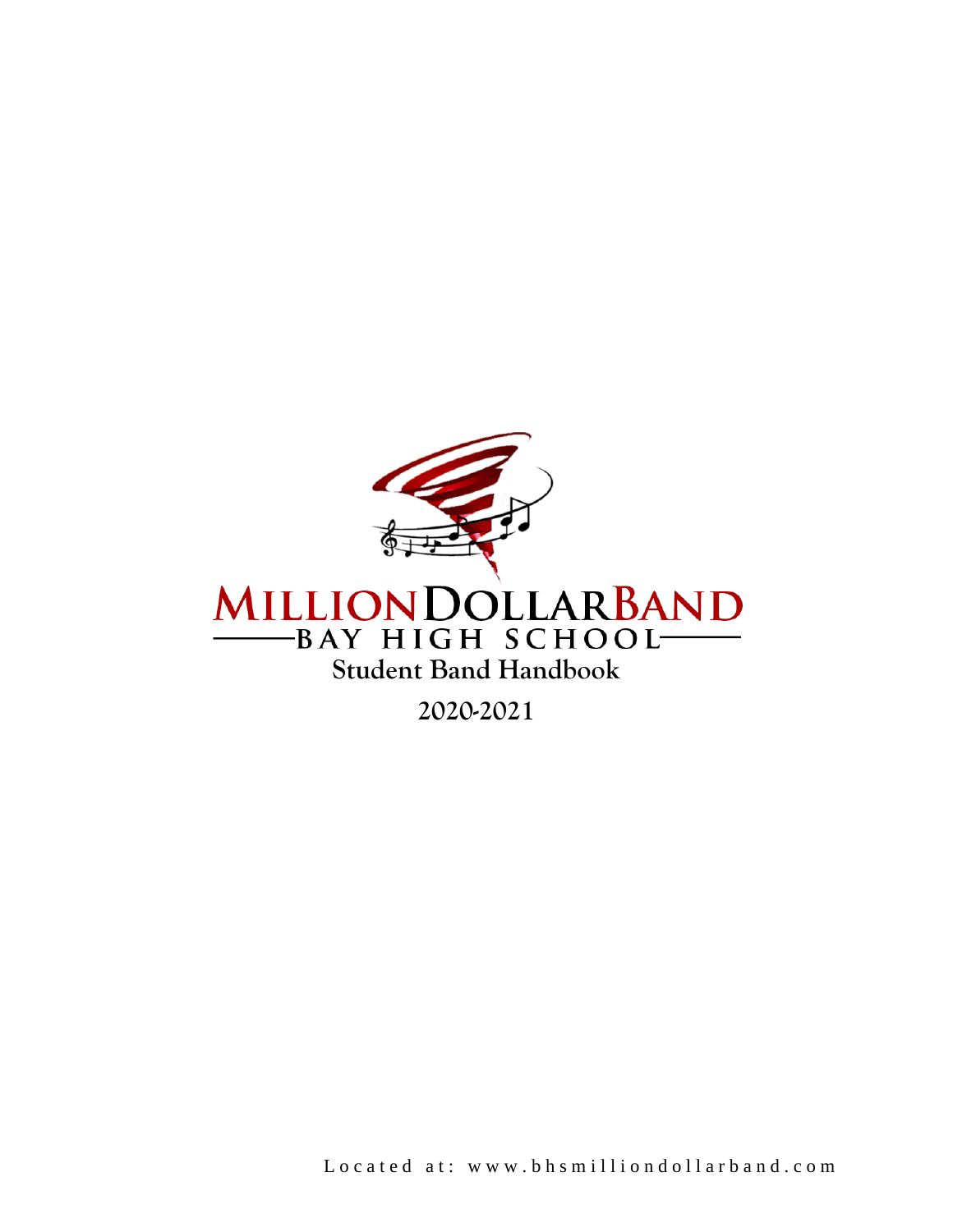

**2020-2021**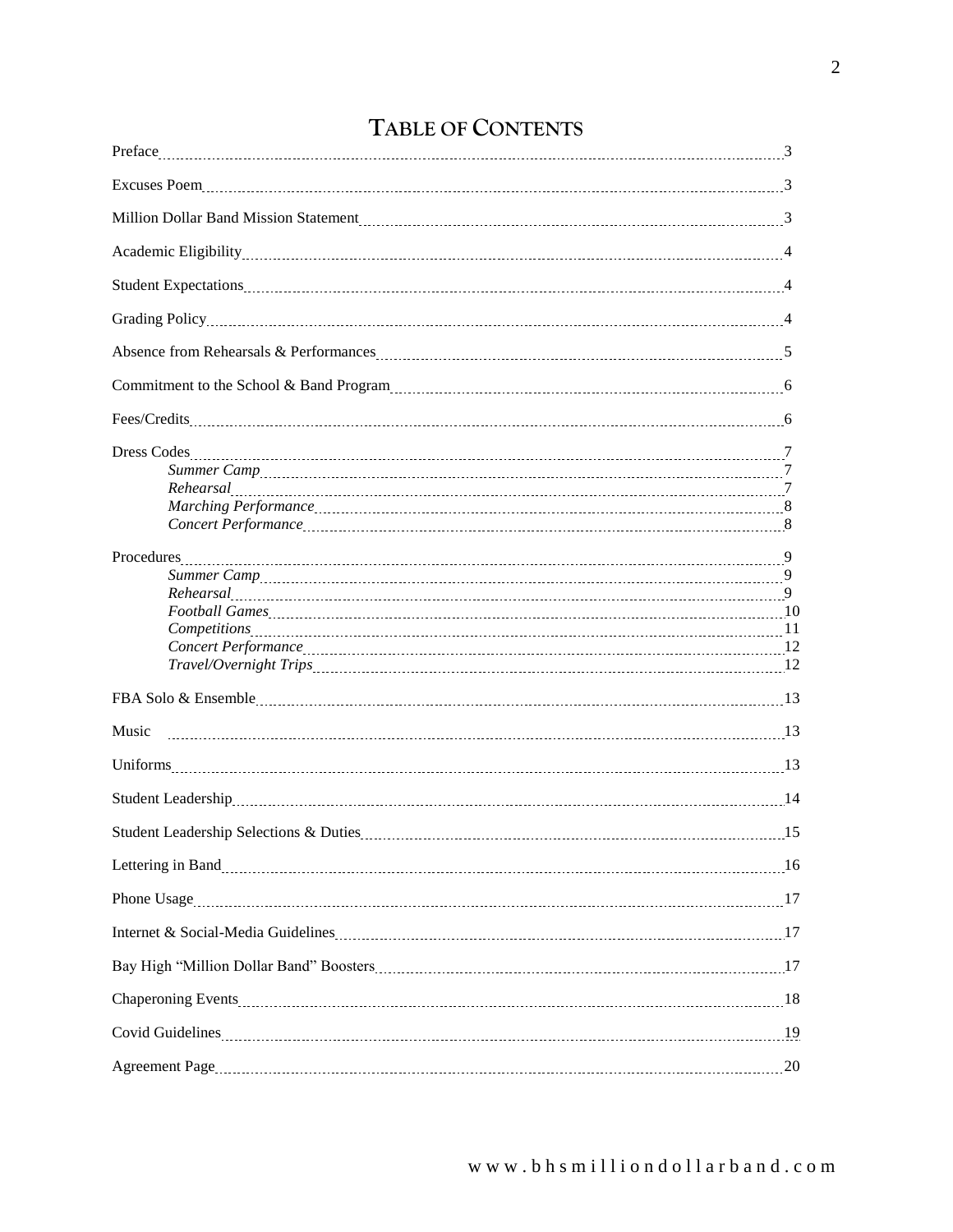## **TABLE OF CONTENTS**

| Million Dollar Band Mission Statement Material Communications and Million Dollar Band Mission Statement Material Communications and Mission Statement Material Communications and Mission Statement Material Communications an |  |
|--------------------------------------------------------------------------------------------------------------------------------------------------------------------------------------------------------------------------------|--|
|                                                                                                                                                                                                                                |  |
|                                                                                                                                                                                                                                |  |
|                                                                                                                                                                                                                                |  |
|                                                                                                                                                                                                                                |  |
|                                                                                                                                                                                                                                |  |
|                                                                                                                                                                                                                                |  |
|                                                                                                                                                                                                                                |  |
| $\emph{Concert Performance} \underline{\hspace{1cm}} 8$                                                                                                                                                                        |  |
|                                                                                                                                                                                                                                |  |
| Football Games 10 and 5 among 10 and 5 and 5 and 5 and 5 and 5 and 5 and 5 and 5 and 5 and 5 and 5 and 5 and 5 and 5 and 5 and 5 and 5 and 5 and 5 and 5 and 5 and 5 and 5 and 5 and 5 and 5 and 5 and 5 and 5 and 5 and 5 and |  |
|                                                                                                                                                                                                                                |  |
|                                                                                                                                                                                                                                |  |
|                                                                                                                                                                                                                                |  |
| Music                                                                                                                                                                                                                          |  |
| Uniforms 2000 13 minutes and the contract of the contract of the contract of the contract of the contract of the contract of the contract of the contract of the contract of the contract of the contract of the contract of t |  |
|                                                                                                                                                                                                                                |  |
| Student Leadership Selections & Duties Materian Material Accords 15                                                                                                                                                            |  |
| Lettering in Band<br>16                                                                                                                                                                                                        |  |
|                                                                                                                                                                                                                                |  |
|                                                                                                                                                                                                                                |  |
|                                                                                                                                                                                                                                |  |
|                                                                                                                                                                                                                                |  |
| Covid Guidelines 19                                                                                                                                                                                                            |  |
|                                                                                                                                                                                                                                |  |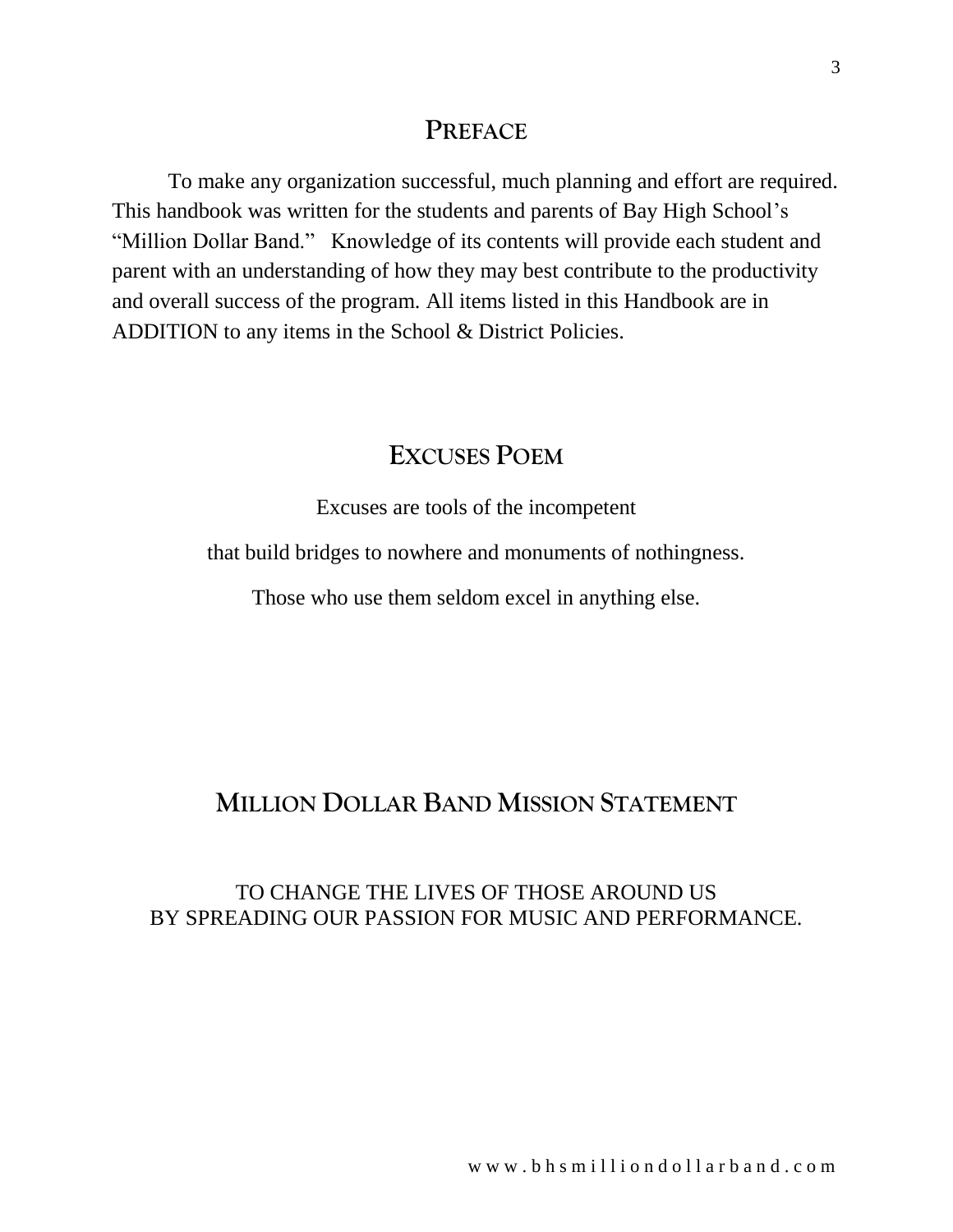## **PREFACE**

To make any organization successful, much planning and effort are required. This handbook was written for the students and parents of Bay High School's "Million Dollar Band." Knowledge of its contents will provide each student and parent with an understanding of how they may best contribute to the productivity and overall success of the program. All items listed in this Handbook are in ADDITION to any items in the School & District Policies.

## **EXCUSES POEM**

Excuses are tools of the incompetent

that build bridges to nowhere and monuments of nothingness.

Those who use them seldom excel in anything else.

# **MILLION DOLLAR BAND MISSION STATEMENT**

## TO CHANGE THE LIVES OF THOSE AROUND US BY SPREADING OUR PASSION FOR MUSIC AND PERFORMANCE.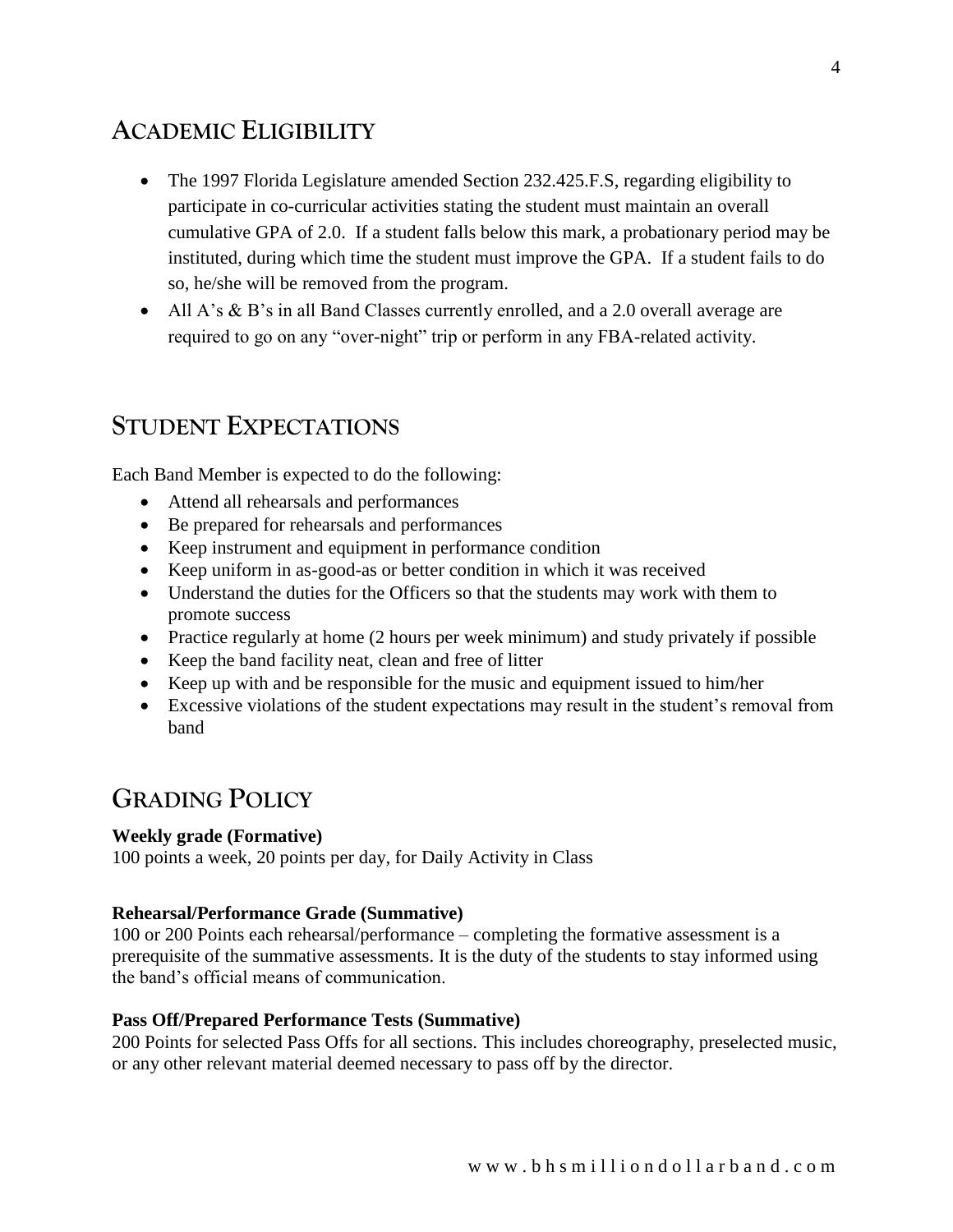# **ACADEMIC ELIGIBILITY**

- The 1997 Florida Legislature amended Section 232.425.F.S, regarding eligibility to participate in co-curricular activities stating the student must maintain an overall cumulative GPA of 2.0. If a student falls below this mark, a probationary period may be instituted, during which time the student must improve the GPA. If a student fails to do so, he/she will be removed from the program.
- All A's & B's in all Band Classes currently enrolled, and a 2.0 overall average are required to go on any "over-night" trip or perform in any FBA-related activity.

## **STUDENT EXPECTATIONS**

Each Band Member is expected to do the following:

- Attend all rehearsals and performances
- Be prepared for rehearsals and performances
- Keep instrument and equipment in performance condition
- Keep uniform in as-good-as or better condition in which it was received
- Understand the duties for the Officers so that the students may work with them to promote success
- Practice regularly at home (2 hours per week minimum) and study privately if possible
- Keep the band facility neat, clean and free of litter
- Keep up with and be responsible for the music and equipment issued to him/her
- Excessive violations of the student expectations may result in the student's removal from band

## **GRADING POLICY**

### **Weekly grade (Formative)**

100 points a week, 20 points per day, for Daily Activity in Class

### **Rehearsal/Performance Grade (Summative)**

100 or 200 Points each rehearsal/performance – completing the formative assessment is a prerequisite of the summative assessments. It is the duty of the students to stay informed using the band's official means of communication.

### **Pass Off/Prepared Performance Tests (Summative)**

200 Points for selected Pass Offs for all sections. This includes choreography, preselected music, or any other relevant material deemed necessary to pass off by the director.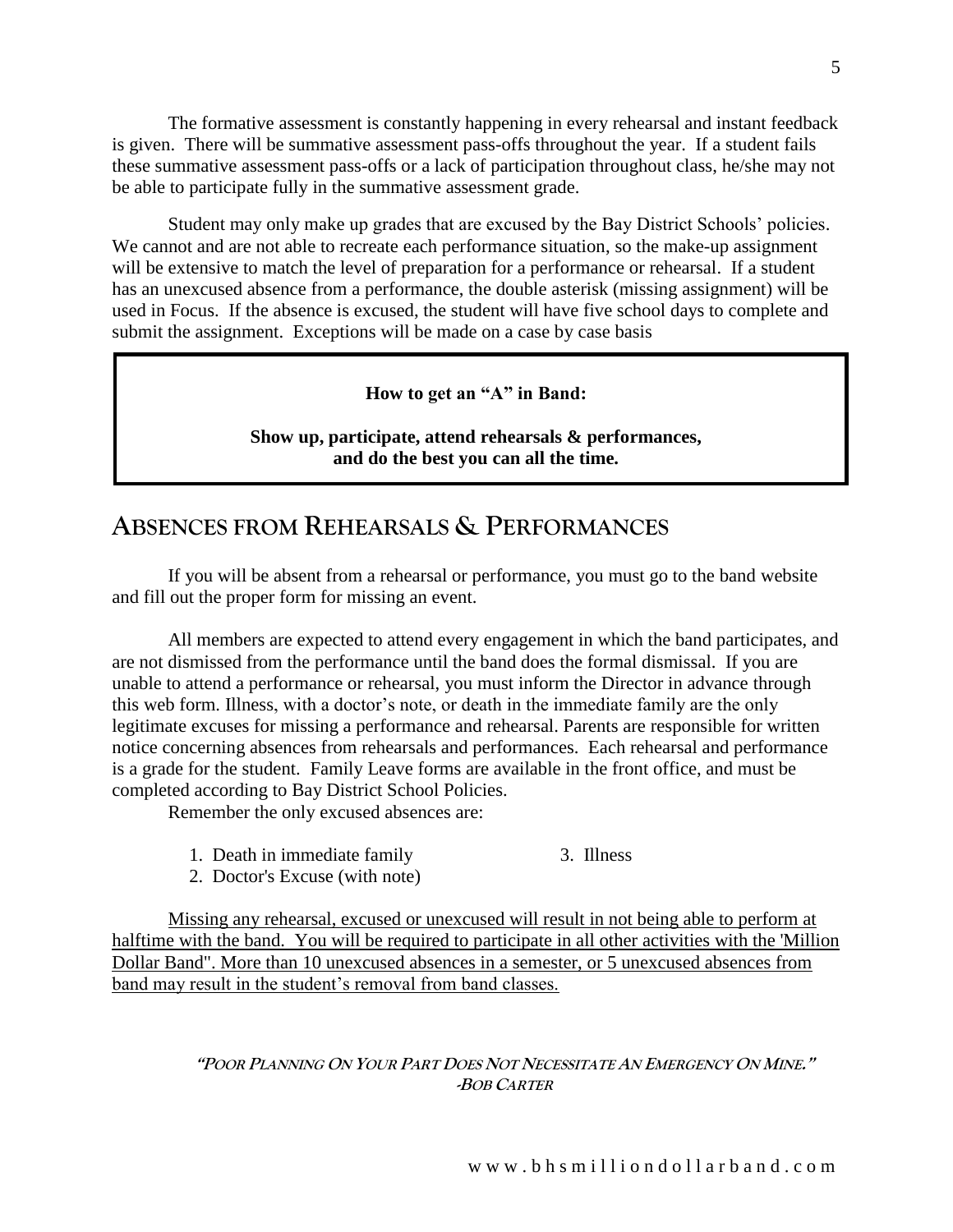The formative assessment is constantly happening in every rehearsal and instant feedback is given. There will be summative assessment pass-offs throughout the year. If a student fails these summative assessment pass-offs or a lack of participation throughout class, he/she may not be able to participate fully in the summative assessment grade.

Student may only make up grades that are excused by the Bay District Schools' policies. We cannot and are not able to recreate each performance situation, so the make-up assignment will be extensive to match the level of preparation for a performance or rehearsal. If a student has an unexcused absence from a performance, the double asterisk (missing assignment) will be used in Focus. If the absence is excused, the student will have five school days to complete and submit the assignment. Exceptions will be made on a case by case basis

### **How to get an "A" in Band:**

**Show up, participate, attend rehearsals & performances, and do the best you can all the time.**

## **ABSENCES FROM REHEARSALS & PERFORMANCES**

If you will be absent from a rehearsal or performance, you must go to the band website and fill out the proper form for missing an event.

All members are expected to attend every engagement in which the band participates, and are not dismissed from the performance until the band does the formal dismissal. If you are unable to attend a performance or rehearsal, you must inform the Director in advance through this web form. Illness, with a doctor's note, or death in the immediate family are the only legitimate excuses for missing a performance and rehearsal. Parents are responsible for written notice concerning absences from rehearsals and performances. Each rehearsal and performance is a grade for the student. Family Leave forms are available in the front office, and must be completed according to Bay District School Policies.

Remember the only excused absences are:

- 1. Death in immediate family 3. Illness
- 2. Doctor's Excuse (with note)

Missing any rehearsal, excused or unexcused will result in not being able to perform at halftime with the band. You will be required to participate in all other activities with the 'Million Dollar Band". More than 10 unexcused absences in a semester, or 5 unexcused absences from band may result in the student's removal from band classes.

### "POOR PLANNING ON YOUR PART DOES NOT NECESSITATE AN EMERGENCY ON MINE." **-BOB CARTER**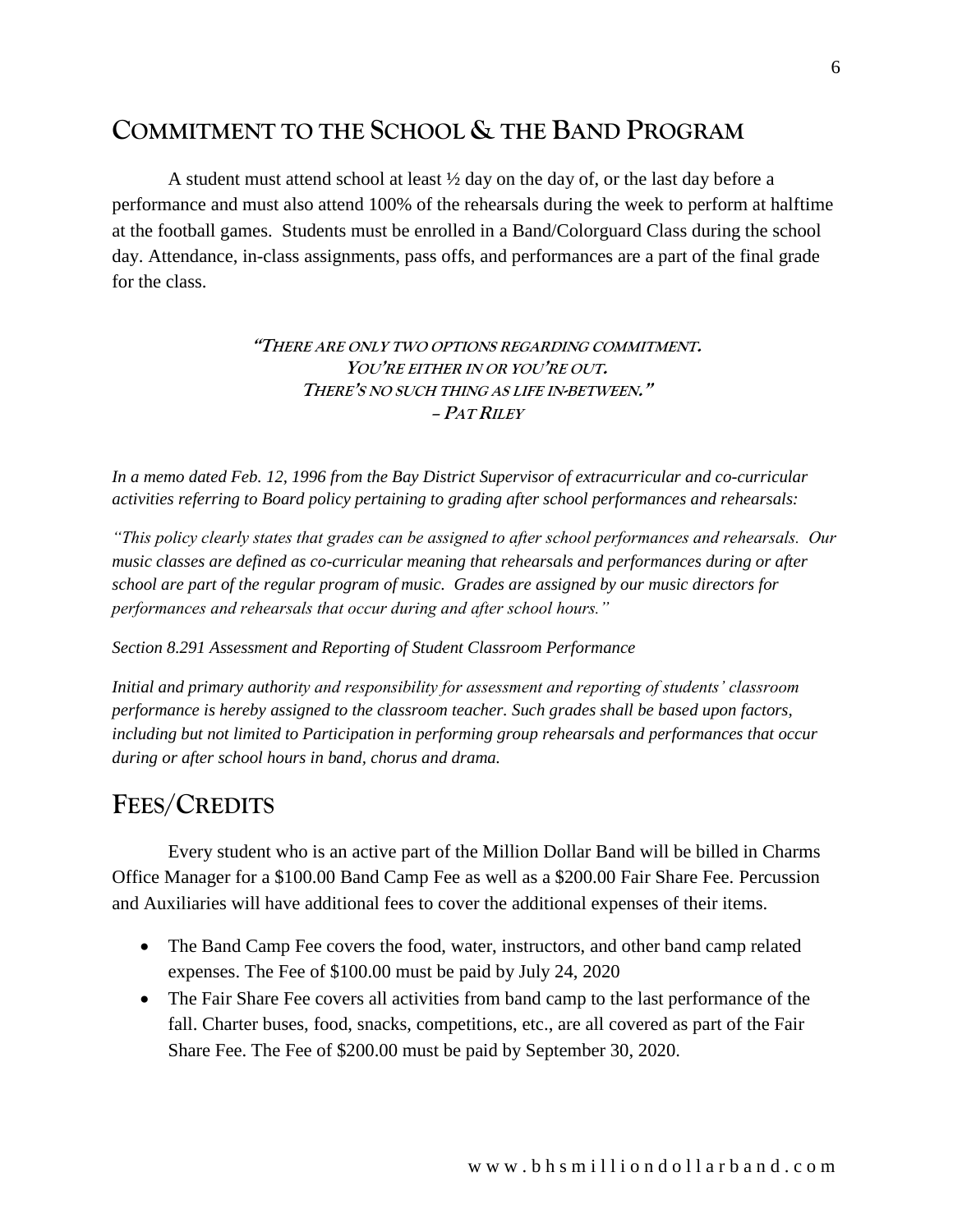## **COMMITMENT TO THE SCHOOL & THE BAND PROGRAM**

A student must attend school at least ½ day on the day of, or the last day before a performance and must also attend 100% of the rehearsals during the week to perform at halftime at the football games. Students must be enrolled in a Band/Colorguard Class during the school day. Attendance, in-class assignments, pass offs, and performances are a part of the final grade for the class.

### **"THERE ARE ONLY TWO OPTIONS REGARDING COMMITMENT. YOU'RE EITHER IN OR YOU'RE OUT. THERE'S NO SUCH THING AS LIFE IN-BETWEEN." – PAT RILEY**

*In a memo dated Feb. 12, 1996 from the Bay District Supervisor of extracurricular and co-curricular activities referring to Board policy pertaining to grading after school performances and rehearsals:*

*"This policy clearly states that grades can be assigned to after school performances and rehearsals. Our music classes are defined as co-curricular meaning that rehearsals and performances during or after school are part of the regular program of music. Grades are assigned by our music directors for performances and rehearsals that occur during and after school hours."*

#### *Section 8.291 Assessment and Reporting of Student Classroom Performance*

*Initial and primary authority and responsibility for assessment and reporting of students' classroom performance is hereby assigned to the classroom teacher. Such grades shall be based upon factors, including but not limited to Participation in performing group rehearsals and performances that occur during or after school hours in band, chorus and drama.*

## **FEES/CREDITS**

Every student who is an active part of the Million Dollar Band will be billed in Charms Office Manager for a \$100.00 Band Camp Fee as well as a \$200.00 Fair Share Fee. Percussion and Auxiliaries will have additional fees to cover the additional expenses of their items.

- The Band Camp Fee covers the food, water, instructors, and other band camp related expenses. The Fee of \$100.00 must be paid by July 24, 2020
- The Fair Share Fee covers all activities from band camp to the last performance of the fall. Charter buses, food, snacks, competitions, etc., are all covered as part of the Fair Share Fee. The Fee of \$200.00 must be paid by September 30, 2020.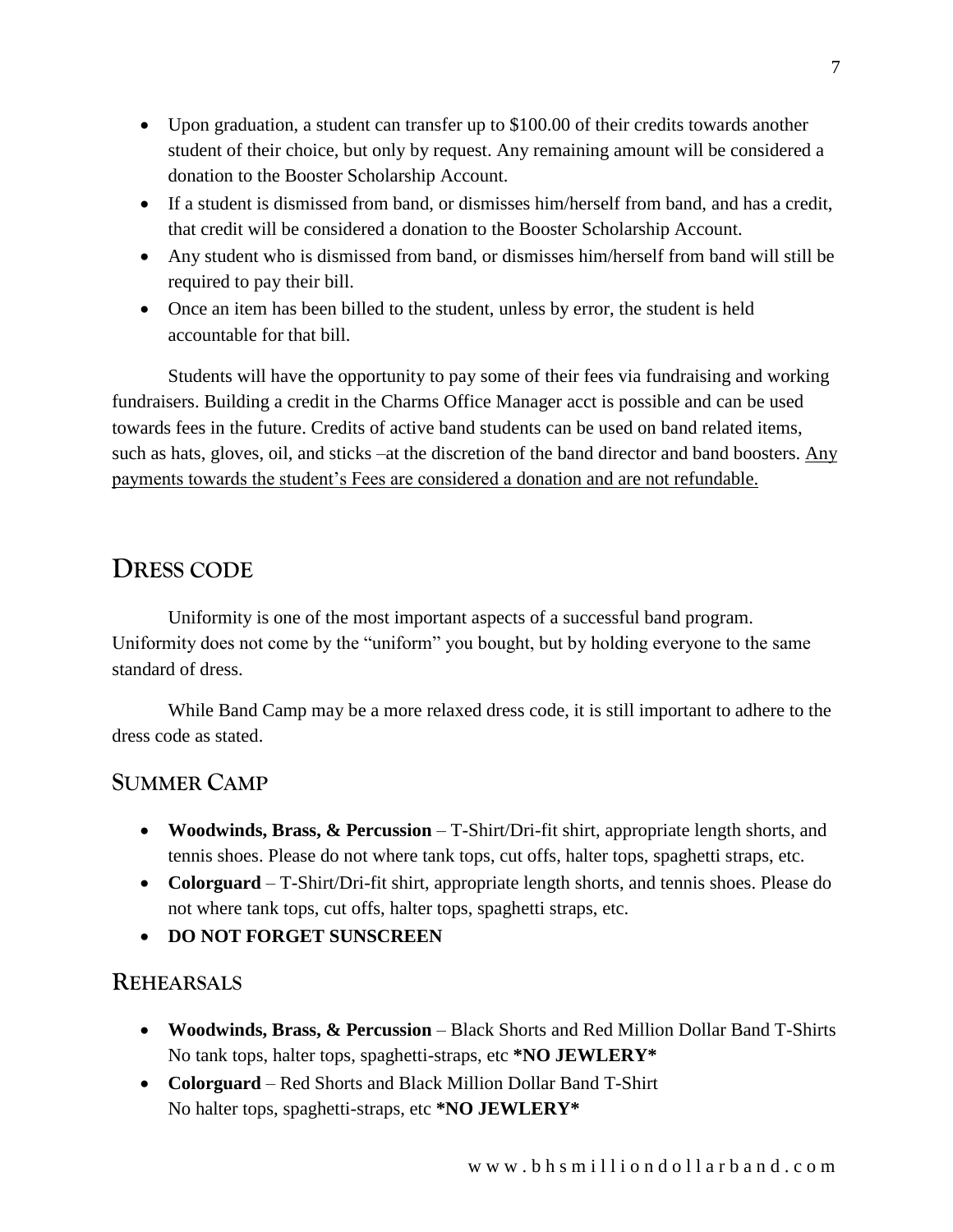- Upon graduation, a student can transfer up to \$100.00 of their credits towards another student of their choice, but only by request. Any remaining amount will be considered a donation to the Booster Scholarship Account.
- If a student is dismissed from band, or dismisses him/herself from band, and has a credit, that credit will be considered a donation to the Booster Scholarship Account.
- Any student who is dismissed from band, or dismisses him/herself from band will still be required to pay their bill.
- Once an item has been billed to the student, unless by error, the student is held accountable for that bill.

Students will have the opportunity to pay some of their fees via fundraising and working fundraisers. Building a credit in the Charms Office Manager acct is possible and can be used towards fees in the future. Credits of active band students can be used on band related items, such as hats, gloves, oil, and sticks –at the discretion of the band director and band boosters. Any payments towards the student's Fees are considered a donation and are not refundable.

## **DRESS CODE**

Uniformity is one of the most important aspects of a successful band program. Uniformity does not come by the "uniform" you bought, but by holding everyone to the same standard of dress.

While Band Camp may be a more relaxed dress code, it is still important to adhere to the dress code as stated.

## **SUMMER CAMP**

- **Woodwinds, Brass, & Percussion** T-Shirt/Dri-fit shirt, appropriate length shorts, and tennis shoes. Please do not where tank tops, cut offs, halter tops, spaghetti straps, etc.
- **Colorguard** T-Shirt/Dri-fit shirt, appropriate length shorts, and tennis shoes. Please do not where tank tops, cut offs, halter tops, spaghetti straps, etc.
- **DO NOT FORGET SUNSCREEN**

### **REHEARSALS**

- **Woodwinds, Brass, & Percussion** Black Shorts and Red Million Dollar Band T-Shirts No tank tops, halter tops, spaghetti-straps, etc **\*NO JEWLERY\***
- **Colorguard** Red Shorts and Black Million Dollar Band T-Shirt No halter tops, spaghetti-straps, etc **\*NO JEWLERY\***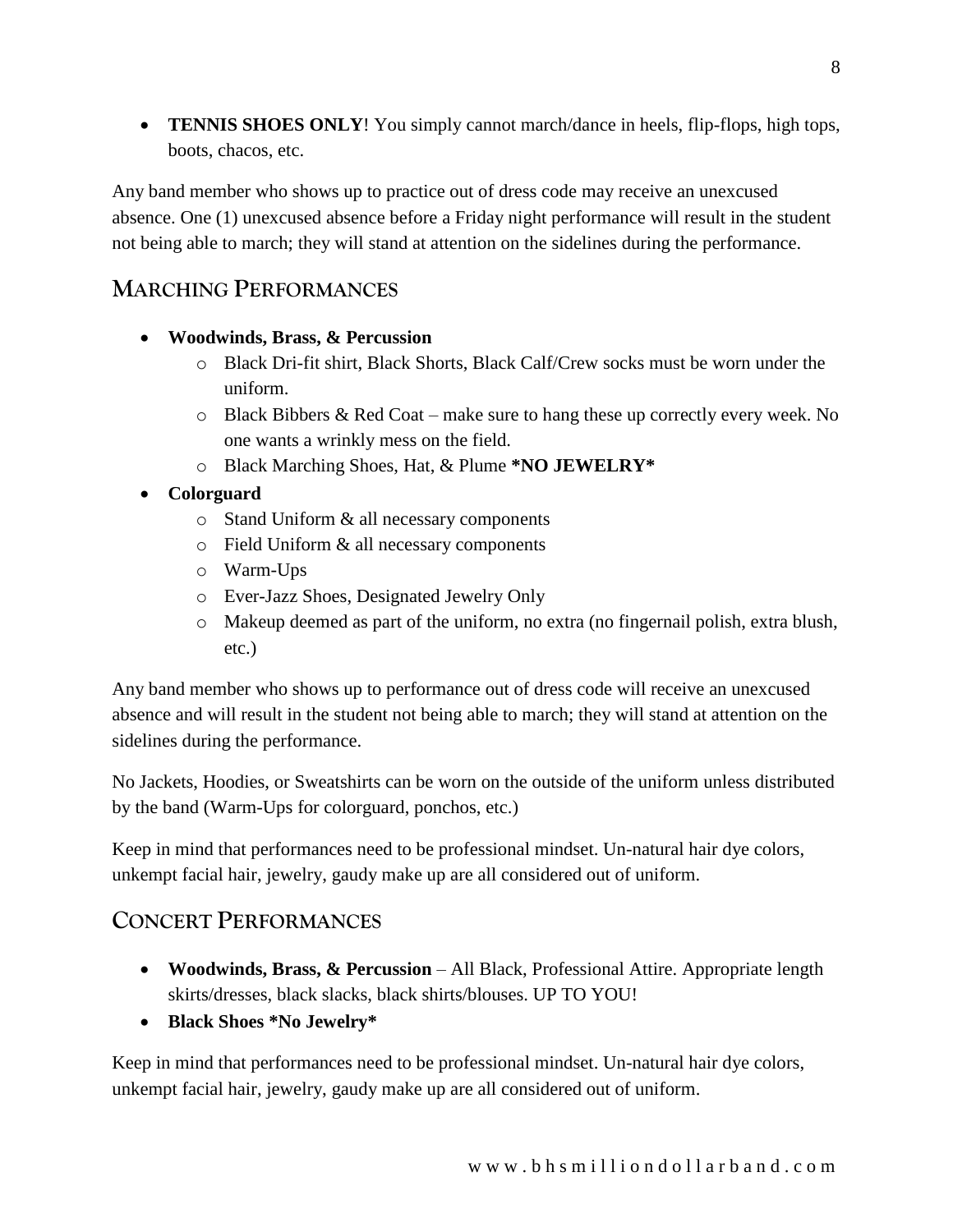• **TENNIS SHOES ONLY**! You simply cannot march/dance in heels, flip-flops, high tops, boots, chacos, etc.

Any band member who shows up to practice out of dress code may receive an unexcused absence. One (1) unexcused absence before a Friday night performance will result in the student not being able to march; they will stand at attention on the sidelines during the performance.

## **MARCHING PERFORMANCES**

- **Woodwinds, Brass, & Percussion** 
	- o Black Dri-fit shirt, Black Shorts, Black Calf/Crew socks must be worn under the uniform.
	- o Black Bibbers & Red Coat make sure to hang these up correctly every week. No one wants a wrinkly mess on the field.
	- o Black Marching Shoes, Hat, & Plume **\*NO JEWELRY\***
- **Colorguard**
	- o Stand Uniform & all necessary components
	- o Field Uniform & all necessary components
	- o Warm-Ups
	- o Ever-Jazz Shoes, Designated Jewelry Only
	- o Makeup deemed as part of the uniform, no extra (no fingernail polish, extra blush, etc.)

Any band member who shows up to performance out of dress code will receive an unexcused absence and will result in the student not being able to march; they will stand at attention on the sidelines during the performance.

No Jackets, Hoodies, or Sweatshirts can be worn on the outside of the uniform unless distributed by the band (Warm-Ups for colorguard, ponchos, etc.)

Keep in mind that performances need to be professional mindset. Un-natural hair dye colors, unkempt facial hair, jewelry, gaudy make up are all considered out of uniform.

## **CONCERT PERFORMANCES**

- **Woodwinds, Brass, & Percussion** All Black, Professional Attire. Appropriate length skirts/dresses, black slacks, black shirts/blouses. UP TO YOU!
- **Black Shoes \*No Jewelry\***

Keep in mind that performances need to be professional mindset. Un-natural hair dye colors, unkempt facial hair, jewelry, gaudy make up are all considered out of uniform.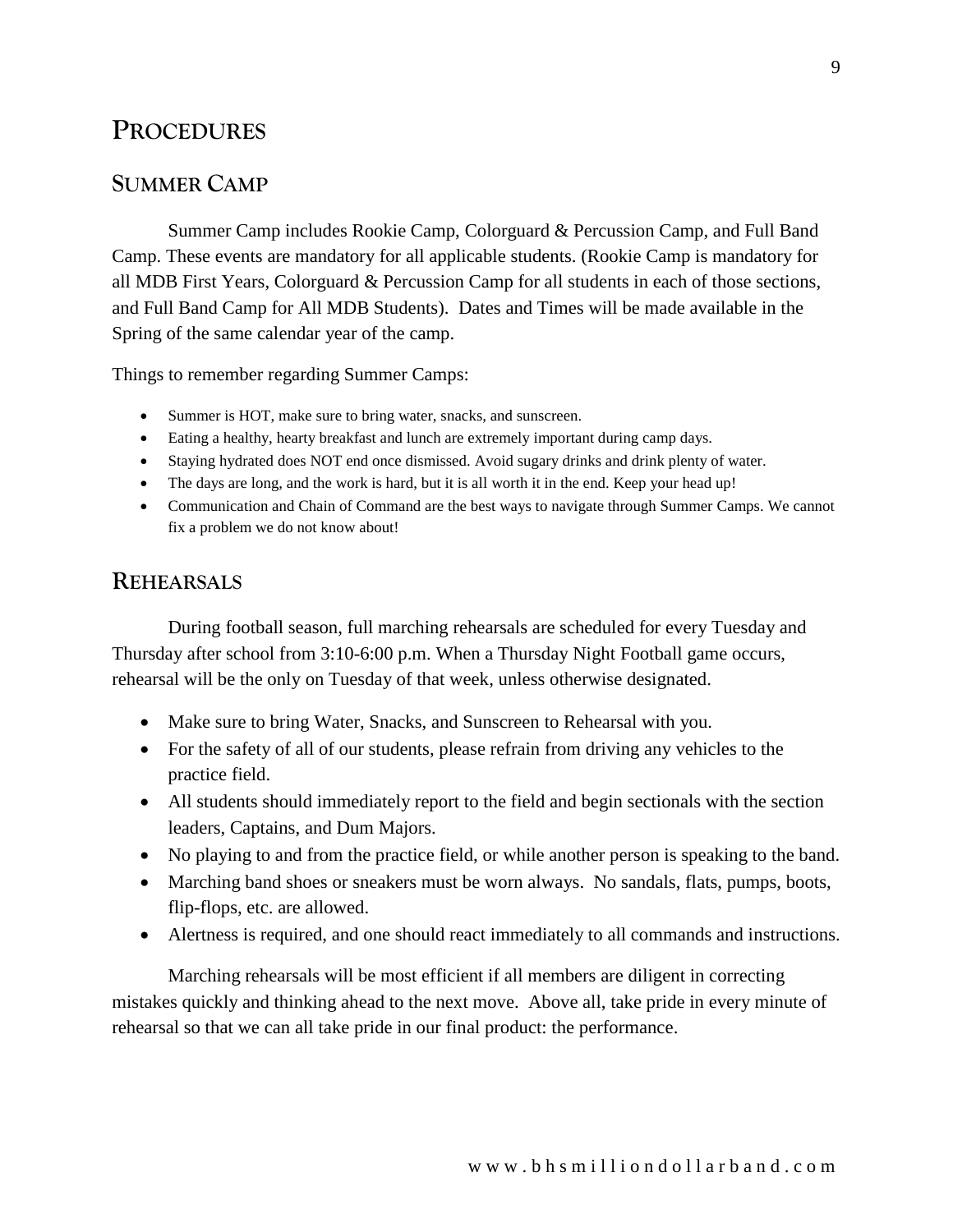## **PROCEDURES**

### **SUMMER CAMP**

Summer Camp includes Rookie Camp, Colorguard & Percussion Camp, and Full Band Camp. These events are mandatory for all applicable students. (Rookie Camp is mandatory for all MDB First Years, Colorguard & Percussion Camp for all students in each of those sections, and Full Band Camp for All MDB Students). Dates and Times will be made available in the Spring of the same calendar year of the camp.

Things to remember regarding Summer Camps:

- Summer is HOT, make sure to bring water, snacks, and sunscreen.
- Eating a healthy, hearty breakfast and lunch are extremely important during camp days.
- Staying hydrated does NOT end once dismissed. Avoid sugary drinks and drink plenty of water.
- The days are long, and the work is hard, but it is all worth it in the end. Keep your head up!
- Communication and Chain of Command are the best ways to navigate through Summer Camps. We cannot fix a problem we do not know about!

### **REHEARSALS**

During football season, full marching rehearsals are scheduled for every Tuesday and Thursday after school from 3:10-6:00 p.m. When a Thursday Night Football game occurs, rehearsal will be the only on Tuesday of that week, unless otherwise designated.

- Make sure to bring Water, Snacks, and Sunscreen to Rehearsal with you.
- For the safety of all of our students, please refrain from driving any vehicles to the practice field.
- All students should immediately report to the field and begin sectionals with the section leaders, Captains, and Dum Majors.
- No playing to and from the practice field, or while another person is speaking to the band.
- Marching band shoes or sneakers must be worn always. No sandals, flats, pumps, boots, flip-flops, etc. are allowed.
- Alertness is required, and one should react immediately to all commands and instructions.

Marching rehearsals will be most efficient if all members are diligent in correcting mistakes quickly and thinking ahead to the next move. Above all, take pride in every minute of rehearsal so that we can all take pride in our final product: the performance.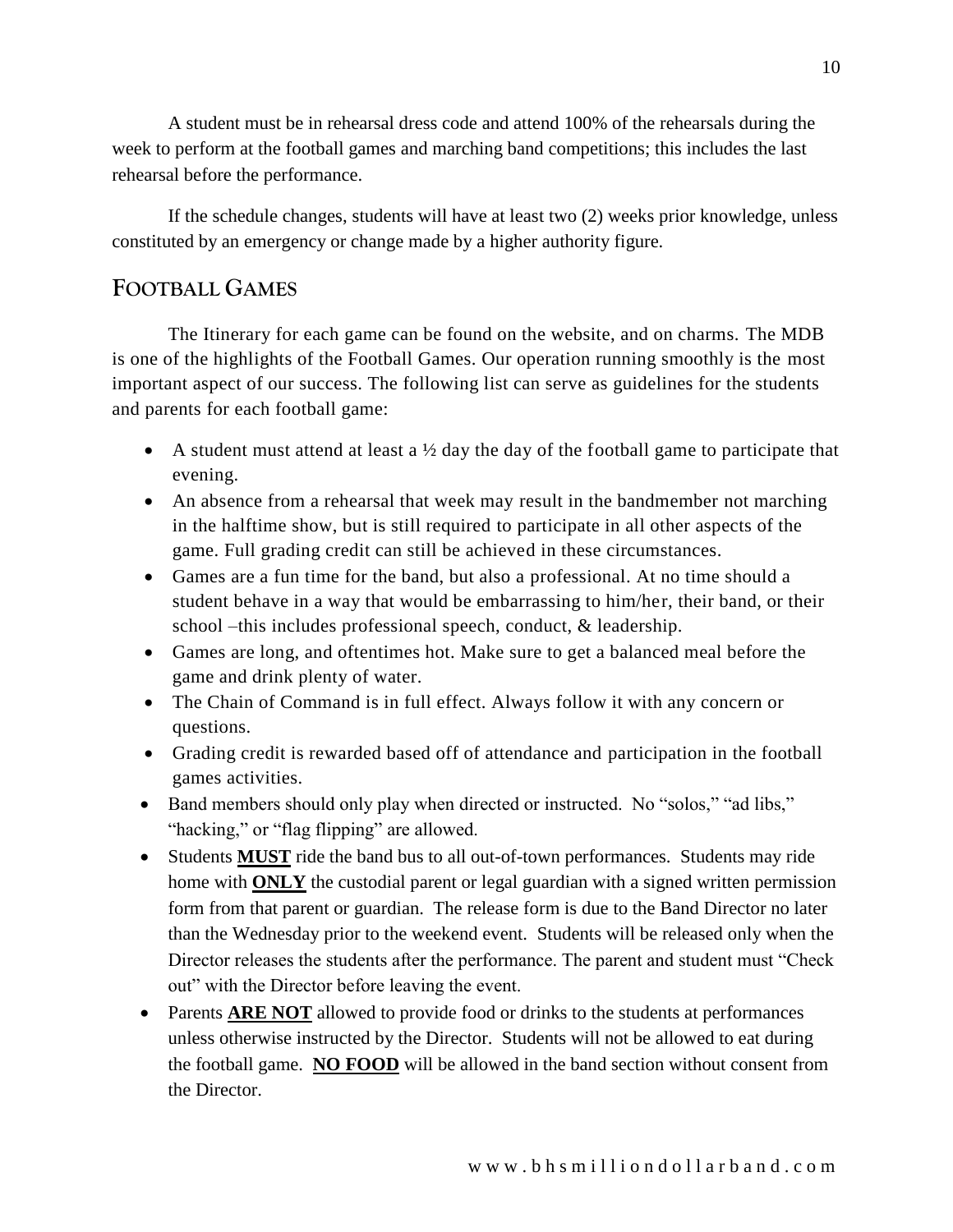A student must be in rehearsal dress code and attend 100% of the rehearsals during the week to perform at the football games and marching band competitions; this includes the last rehearsal before the performance.

If the schedule changes, students will have at least two (2) weeks prior knowledge, unless constituted by an emergency or change made by a higher authority figure.

## **FOOTBALL GAMES**

The Itinerary for each game can be found on the website, and on charms. The MDB is one of the highlights of the Football Games. Our operation running smoothly is the most important aspect of our success. The following list can serve as guidelines for the students and parents for each football game:

- A student must attend at least a  $\frac{1}{2}$  day the day of the football game to participate that evening.
- An absence from a rehearsal that week may result in the bandmember not marching in the halftime show, but is still required to participate in all other aspects of the game. Full grading credit can still be achieved in these circumstances.
- Games are a fun time for the band, but also a professional. At no time should a student behave in a way that would be embarrassing to him/her, their band, or their school –this includes professional speech, conduct, & leadership.
- Games are long, and oftentimes hot. Make sure to get a balanced meal before the game and drink plenty of water.
- The Chain of Command is in full effect. Always follow it with any concern or questions.
- Grading credit is rewarded based off of attendance and participation in the football games activities.
- Band members should only play when directed or instructed. No "solos," "ad libs," "hacking," or "flag flipping" are allowed.
- Students **MUST** ride the band bus to all out-of-town performances. Students may ride home with **ONLY** the custodial parent or legal guardian with a signed written permission form from that parent or guardian. The release form is due to the Band Director no later than the Wednesday prior to the weekend event. Students will be released only when the Director releases the students after the performance. The parent and student must "Check out" with the Director before leaving the event.
- Parents **ARE NOT** allowed to provide food or drinks to the students at performances unless otherwise instructed by the Director. Students will not be allowed to eat during the football game. **NO FOOD** will be allowed in the band section without consent from the Director.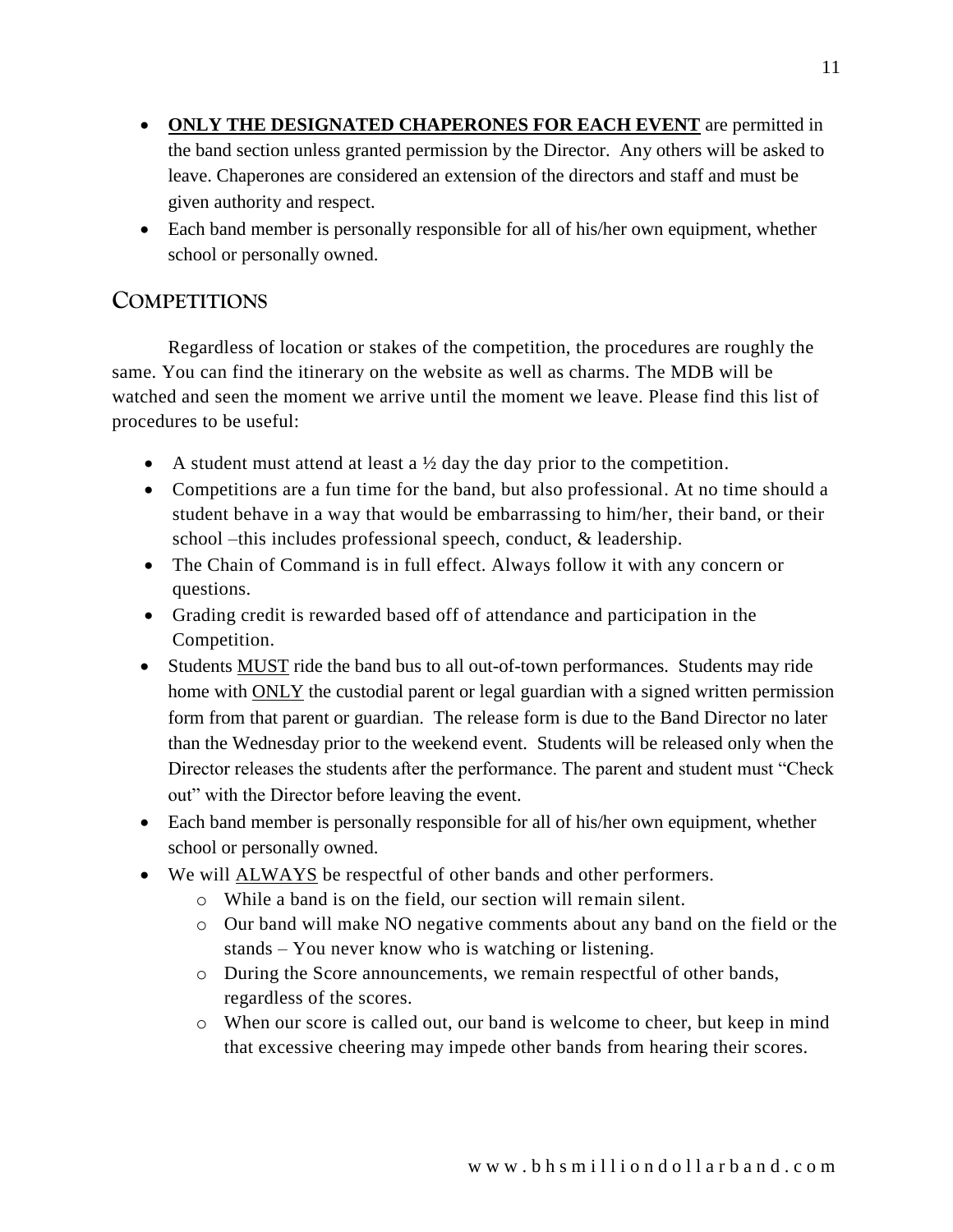- **ONLY THE DESIGNATED CHAPERONES FOR EACH EVENT** are permitted in the band section unless granted permission by the Director. Any others will be asked to leave. Chaperones are considered an extension of the directors and staff and must be given authority and respect.
- Each band member is personally responsible for all of his/her own equipment, whether school or personally owned.

## **COMPETITIONS**

Regardless of location or stakes of the competition, the procedures are roughly the same. You can find the itinerary on the website as well as charms. The MDB will be watched and seen the moment we arrive until the moment we leave. Please find this list of procedures to be useful:

- A student must attend at least a  $\frac{1}{2}$  day the day prior to the competition.
- Competitions are a fun time for the band, but also professional. At no time should a student behave in a way that would be embarrassing to him/her, their band, or their school –this includes professional speech, conduct, & leadership.
- The Chain of Command is in full effect. Always follow it with any concern or questions.
- Grading credit is rewarded based off of attendance and participation in the Competition.
- Students MUST ride the band bus to all out-of-town performances. Students may ride home with ONLY the custodial parent or legal guardian with a signed written permission form from that parent or guardian. The release form is due to the Band Director no later than the Wednesday prior to the weekend event. Students will be released only when the Director releases the students after the performance. The parent and student must "Check out" with the Director before leaving the event.
- Each band member is personally responsible for all of his/her own equipment, whether school or personally owned.
- We will ALWAYS be respectful of other bands and other performers.
	- o While a band is on the field, our section will remain silent.
	- o Our band will make NO negative comments about any band on the field or the stands – You never know who is watching or listening.
	- o During the Score announcements, we remain respectful of other bands, regardless of the scores.
	- o When our score is called out, our band is welcome to cheer, but keep in mind that excessive cheering may impede other bands from hearing their scores.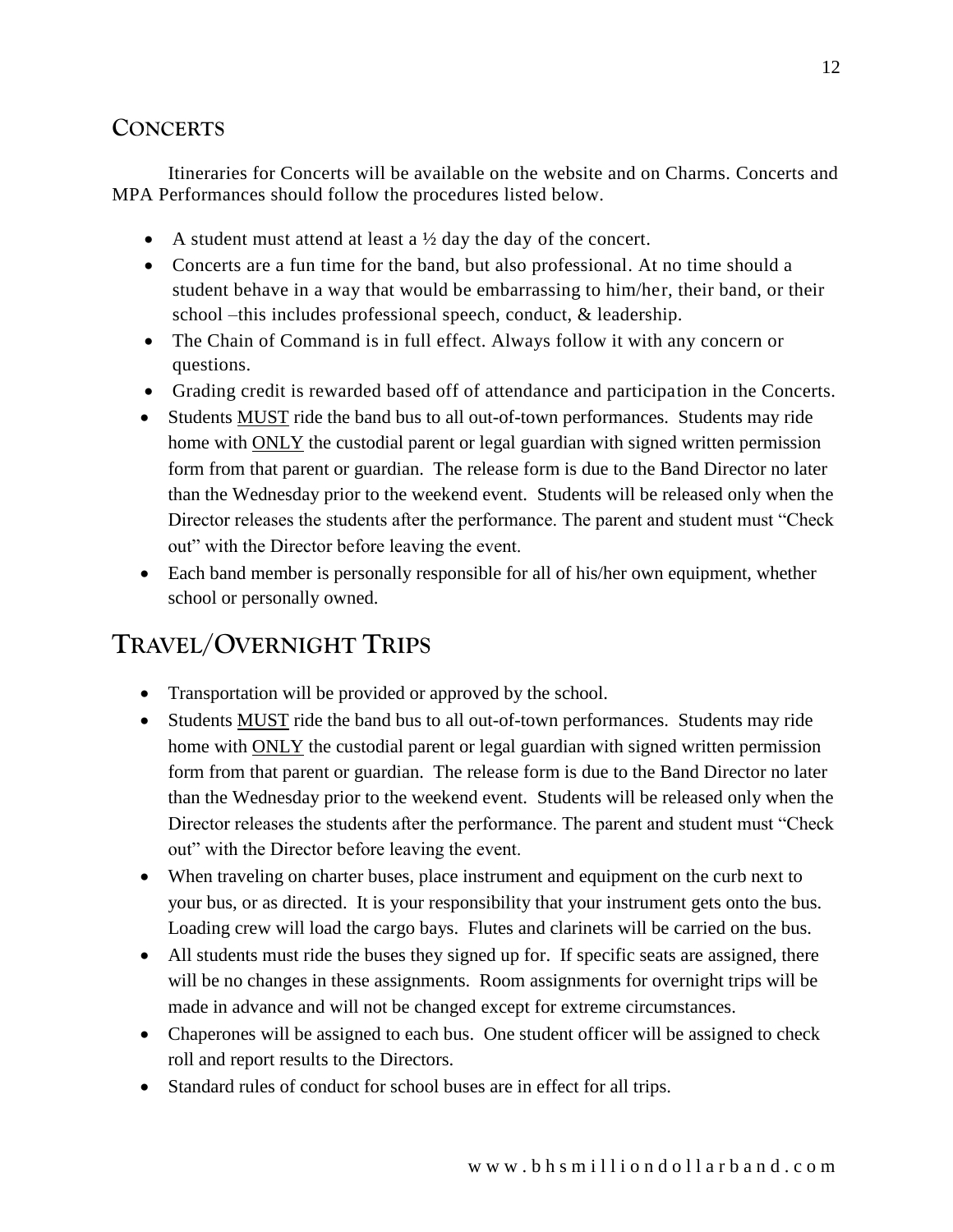## **CONCERTS**

Itineraries for Concerts will be available on the website and on Charms. Concerts and MPA Performances should follow the procedures listed below.

- A student must attend at least a  $\frac{1}{2}$  day the day of the concert.
- Concerts are a fun time for the band, but also professional. At no time should a student behave in a way that would be embarrassing to him/her, their band, or their school –this includes professional speech, conduct, & leadership.
- The Chain of Command is in full effect. Always follow it with any concern or questions.
- Grading credit is rewarded based off of attendance and participation in the Concerts.
- Students **MUST** ride the band bus to all out-of-town performances. Students may ride home with ONLY the custodial parent or legal guardian with signed written permission form from that parent or guardian. The release form is due to the Band Director no later than the Wednesday prior to the weekend event. Students will be released only when the Director releases the students after the performance. The parent and student must "Check out" with the Director before leaving the event.
- Each band member is personally responsible for all of his/her own equipment, whether school or personally owned.

# **TRAVEL/OVERNIGHT TRIPS**

- Transportation will be provided or approved by the school.
- Students MUST ride the band bus to all out-of-town performances. Students may ride home with ONLY the custodial parent or legal guardian with signed written permission form from that parent or guardian. The release form is due to the Band Director no later than the Wednesday prior to the weekend event. Students will be released only when the Director releases the students after the performance. The parent and student must "Check out" with the Director before leaving the event.
- When traveling on charter buses, place instrument and equipment on the curb next to your bus, or as directed. It is your responsibility that your instrument gets onto the bus. Loading crew will load the cargo bays. Flutes and clarinets will be carried on the bus.
- All students must ride the buses they signed up for. If specific seats are assigned, there will be no changes in these assignments. Room assignments for overnight trips will be made in advance and will not be changed except for extreme circumstances.
- Chaperones will be assigned to each bus. One student officer will be assigned to check roll and report results to the Directors.
- Standard rules of conduct for school buses are in effect for all trips.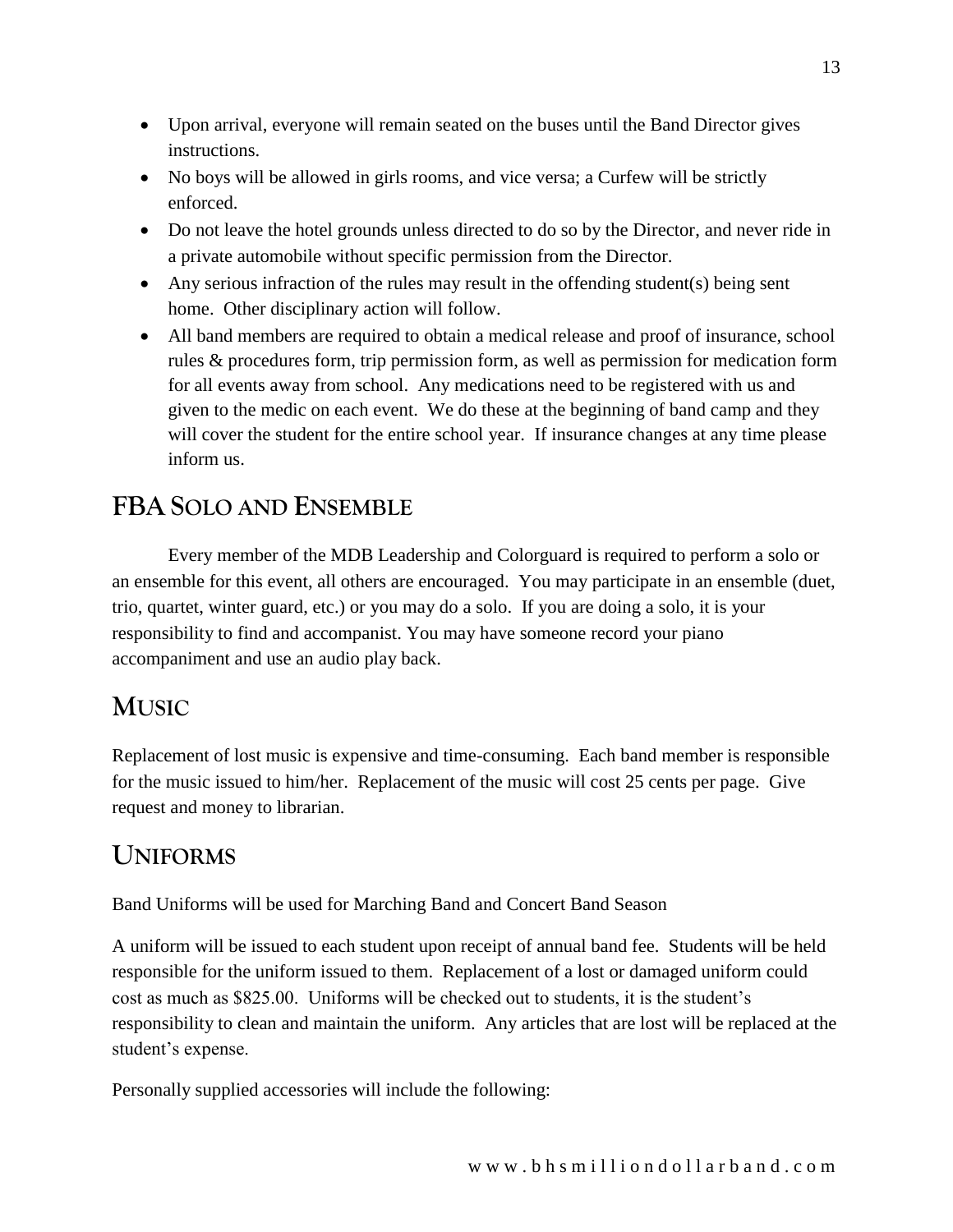- Upon arrival, everyone will remain seated on the buses until the Band Director gives instructions.
- No boys will be allowed in girls rooms, and vice versa; a Curfew will be strictly enforced.
- Do not leave the hotel grounds unless directed to do so by the Director, and never ride in a private automobile without specific permission from the Director.
- Any serious infraction of the rules may result in the offending student(s) being sent home. Other disciplinary action will follow.
- All band members are required to obtain a medical release and proof of insurance, school rules & procedures form, trip permission form, as well as permission for medication form for all events away from school. Any medications need to be registered with us and given to the medic on each event. We do these at the beginning of band camp and they will cover the student for the entire school year. If insurance changes at any time please inform us.

# **FBA SOLO AND ENSEMBLE**

Every member of the MDB Leadership and Colorguard is required to perform a solo or an ensemble for this event, all others are encouraged. You may participate in an ensemble (duet, trio, quartet, winter guard, etc.) or you may do a solo. If you are doing a solo, it is your responsibility to find and accompanist. You may have someone record your piano accompaniment and use an audio play back.

# **MUSIC**

Replacement of lost music is expensive and time-consuming. Each band member is responsible for the music issued to him/her. Replacement of the music will cost 25 cents per page. Give request and money to librarian.

# **UNIFORMS**

Band Uniforms will be used for Marching Band and Concert Band Season

A uniform will be issued to each student upon receipt of annual band fee. Students will be held responsible for the uniform issued to them. Replacement of a lost or damaged uniform could cost as much as \$825.00. Uniforms will be checked out to students, it is the student's responsibility to clean and maintain the uniform. Any articles that are lost will be replaced at the student's expense.

Personally supplied accessories will include the following: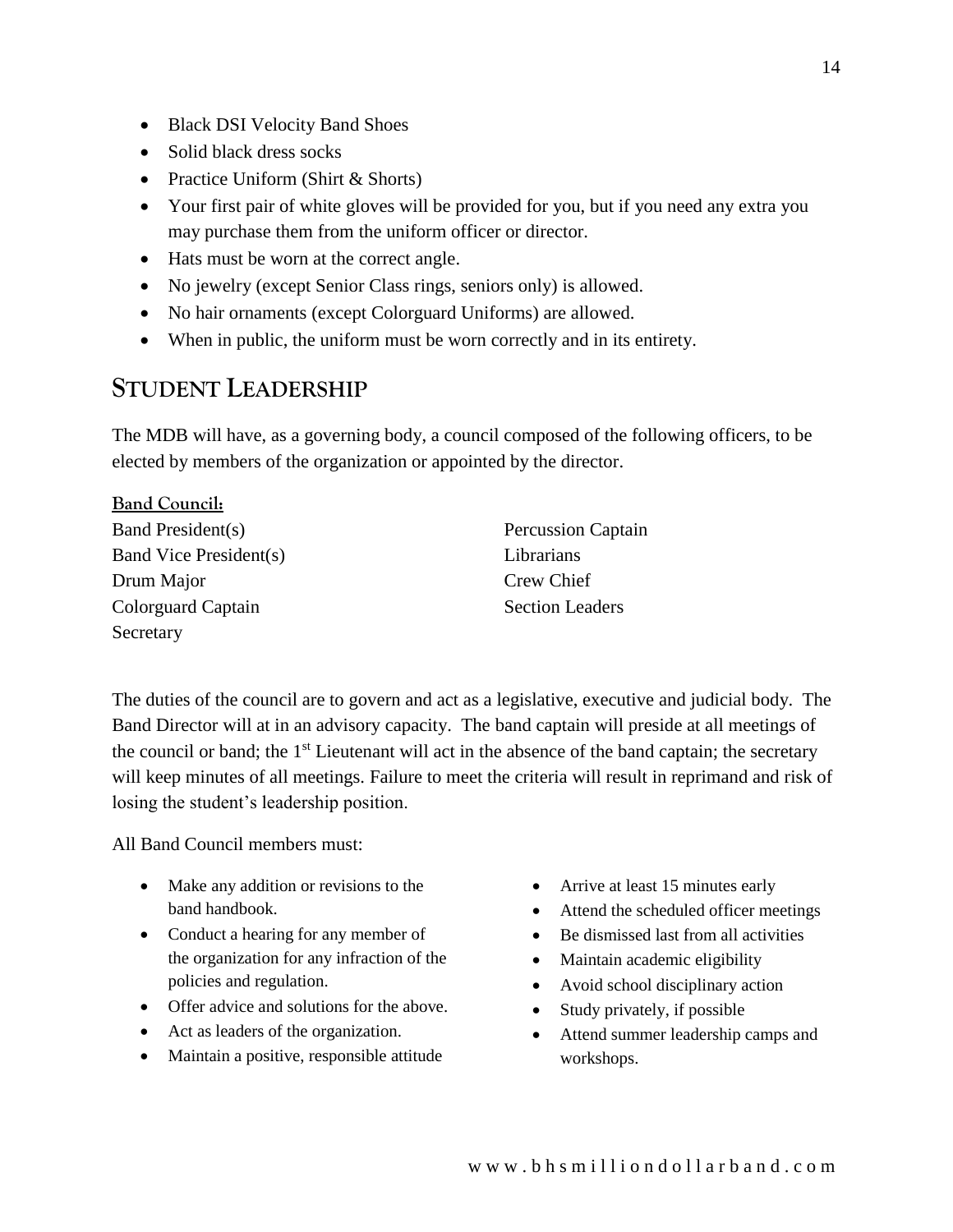- Black DSI Velocity Band Shoes
- Solid black dress socks
- Practice Uniform (Shirt & Shorts)
- Your first pair of white gloves will be provided for you, but if you need any extra you may purchase them from the uniform officer or director.
- Hats must be worn at the correct angle.
- No jewelry (except Senior Class rings, seniors only) is allowed.
- No hair ornaments (except Colorguard Uniforms) are allowed.
- When in public, the uniform must be worn correctly and in its entirety.

## **STUDENT LEADERSHIP**

The MDB will have, as a governing body, a council composed of the following officers, to be elected by members of the organization or appointed by the director.

| <b>Band Council:</b>   |                           |
|------------------------|---------------------------|
| Band President(s)      | <b>Percussion Captain</b> |
| Band Vice President(s) | Librarians                |
| Drum Major             | Crew Chief                |
| Colorguard Captain     | <b>Section Leaders</b>    |
| Secretary              |                           |

The duties of the council are to govern and act as a legislative, executive and judicial body. The Band Director will at in an advisory capacity. The band captain will preside at all meetings of the council or band; the 1<sup>st</sup> Lieutenant will act in the absence of the band captain; the secretary will keep minutes of all meetings. Failure to meet the criteria will result in reprimand and risk of losing the student's leadership position.

All Band Council members must:

- Make any addition or revisions to the band handbook.
- Conduct a hearing for any member of the organization for any infraction of the policies and regulation.
- Offer advice and solutions for the above.
- Act as leaders of the organization.
- Maintain a positive, responsible attitude
- Arrive at least 15 minutes early
- Attend the scheduled officer meetings
- Be dismissed last from all activities
- Maintain academic eligibility
- Avoid school disciplinary action
- Study privately, if possible
- Attend summer leadership camps and workshops.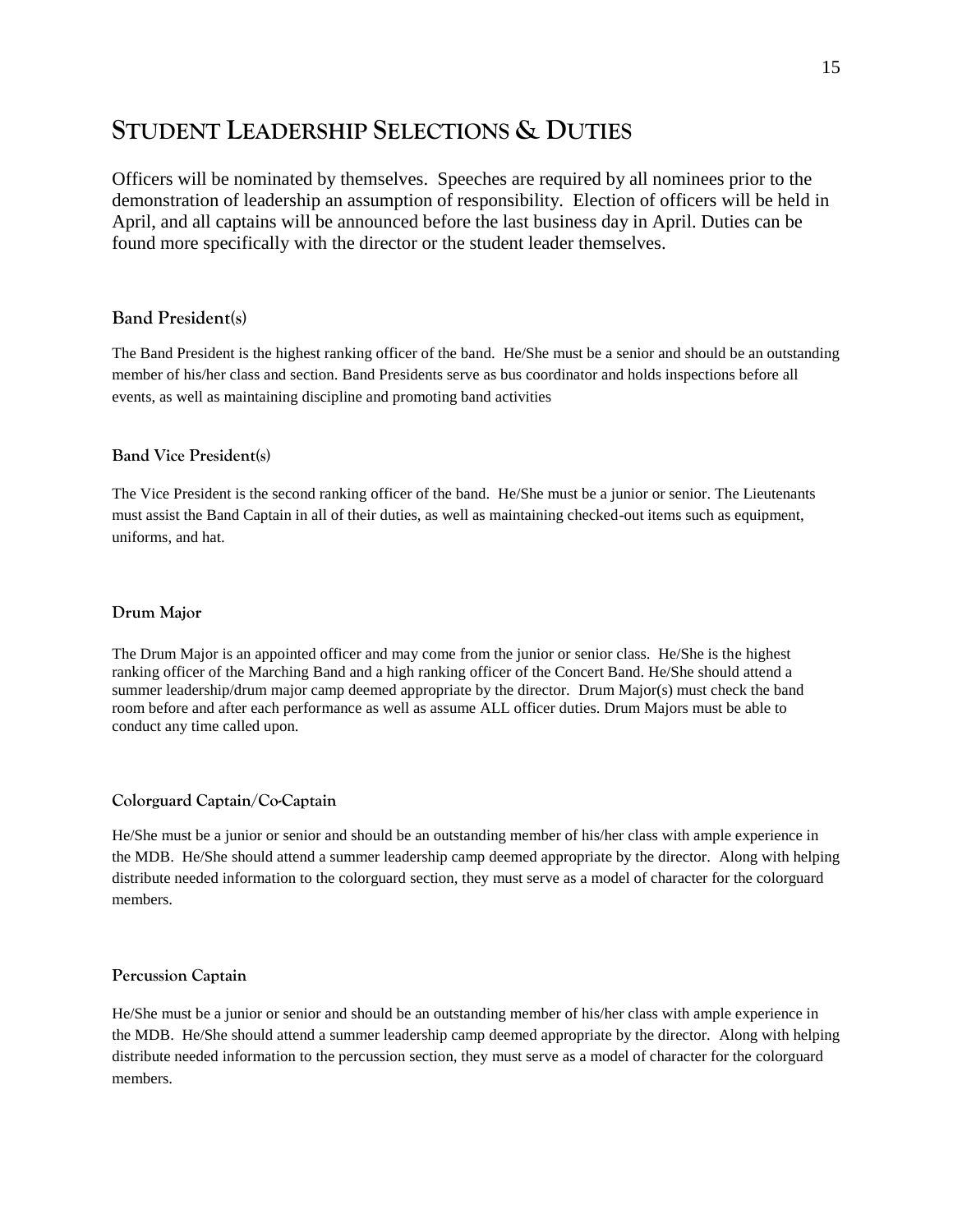## **STUDENT LEADERSHIP SELECTIONS & DUTIES**

Officers will be nominated by themselves. Speeches are required by all nominees prior to the demonstration of leadership an assumption of responsibility. Election of officers will be held in April, and all captains will be announced before the last business day in April. Duties can be found more specifically with the director or the student leader themselves.

#### **Band President(s)**

The Band President is the highest ranking officer of the band. He/She must be a senior and should be an outstanding member of his/her class and section. Band Presidents serve as bus coordinator and holds inspections before all events, as well as maintaining discipline and promoting band activities

#### **Band Vice President(s)**

The Vice President is the second ranking officer of the band. He/She must be a junior or senior. The Lieutenants must assist the Band Captain in all of their duties, as well as maintaining checked-out items such as equipment, uniforms, and hat.

#### **Drum Major**

The Drum Major is an appointed officer and may come from the junior or senior class. He/She is the highest ranking officer of the Marching Band and a high ranking officer of the Concert Band. He/She should attend a summer leadership/drum major camp deemed appropriate by the director. Drum Major(s) must check the band room before and after each performance as well as assume ALL officer duties. Drum Majors must be able to conduct any time called upon.

#### **Colorguard Captain/Co-Captain**

He/She must be a junior or senior and should be an outstanding member of his/her class with ample experience in the MDB. He/She should attend a summer leadership camp deemed appropriate by the director. Along with helping distribute needed information to the colorguard section, they must serve as a model of character for the colorguard members.

#### **Percussion Captain**

He/She must be a junior or senior and should be an outstanding member of his/her class with ample experience in the MDB. He/She should attend a summer leadership camp deemed appropriate by the director. Along with helping distribute needed information to the percussion section, they must serve as a model of character for the colorguard members.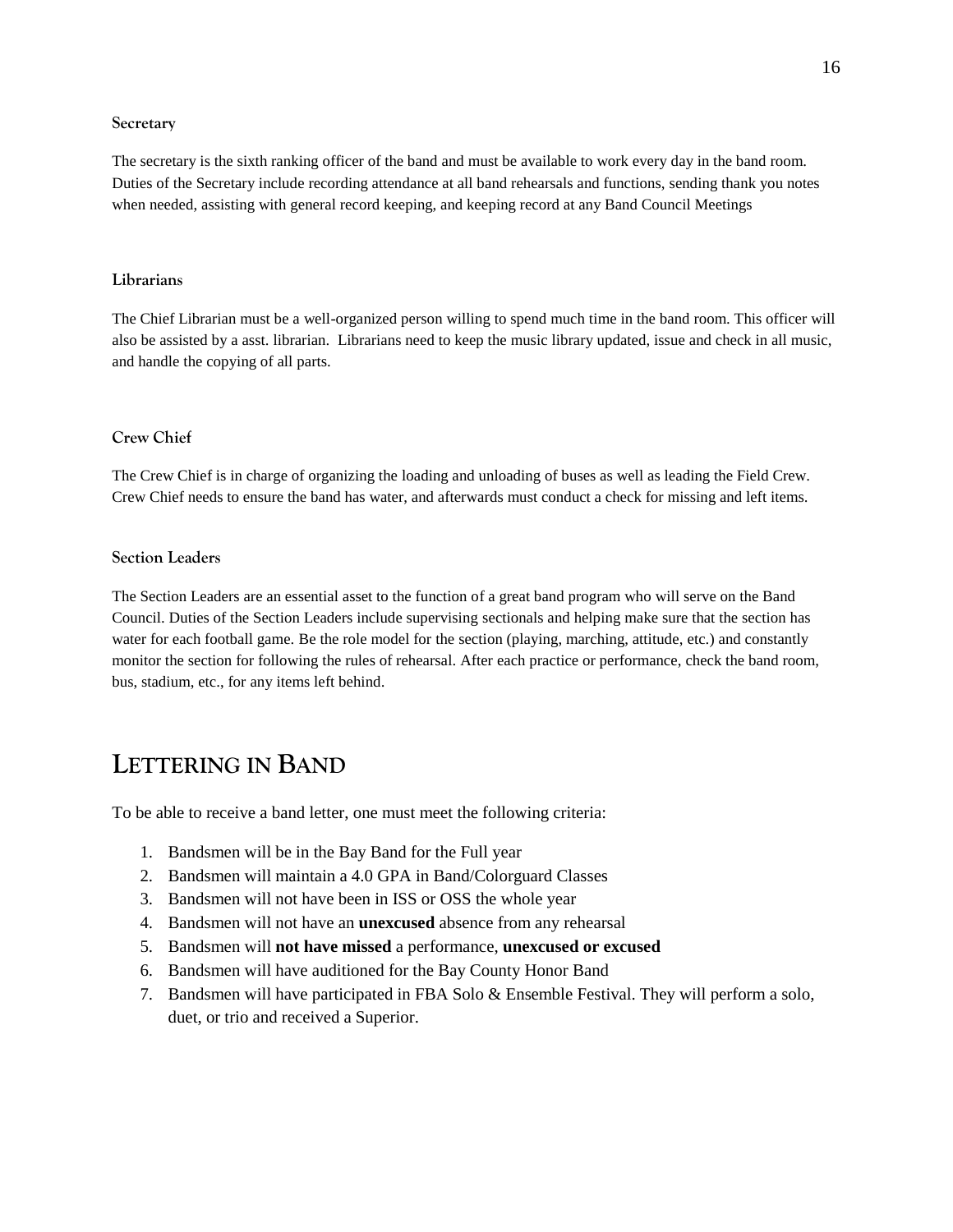#### **Secretary**

The secretary is the sixth ranking officer of the band and must be available to work every day in the band room. Duties of the Secretary include recording attendance at all band rehearsals and functions, sending thank you notes when needed, assisting with general record keeping, and keeping record at any Band Council Meetings

#### **Librarians**

The Chief Librarian must be a well-organized person willing to spend much time in the band room. This officer will also be assisted by a asst. librarian. Librarians need to keep the music library updated, issue and check in all music, and handle the copying of all parts.

### **Crew Chief**

The Crew Chief is in charge of organizing the loading and unloading of buses as well as leading the Field Crew. Crew Chief needs to ensure the band has water, and afterwards must conduct a check for missing and left items.

#### **Section Leaders**

The Section Leaders are an essential asset to the function of a great band program who will serve on the Band Council. Duties of the Section Leaders include supervising sectionals and helping make sure that the section has water for each football game. Be the role model for the section (playing, marching, attitude, etc.) and constantly monitor the section for following the rules of rehearsal. After each practice or performance, check the band room, bus, stadium, etc., for any items left behind.

## **LETTERING IN BAND**

To be able to receive a band letter, one must meet the following criteria:

- 1. Bandsmen will be in the Bay Band for the Full year
- 2. Bandsmen will maintain a 4.0 GPA in Band/Colorguard Classes
- 3. Bandsmen will not have been in ISS or OSS the whole year
- 4. Bandsmen will not have an **unexcused** absence from any rehearsal
- 5. Bandsmen will **not have missed** a performance, **unexcused or excused**
- 6. Bandsmen will have auditioned for the Bay County Honor Band
- 7. Bandsmen will have participated in FBA Solo & Ensemble Festival. They will perform a solo, duet, or trio and received a Superior.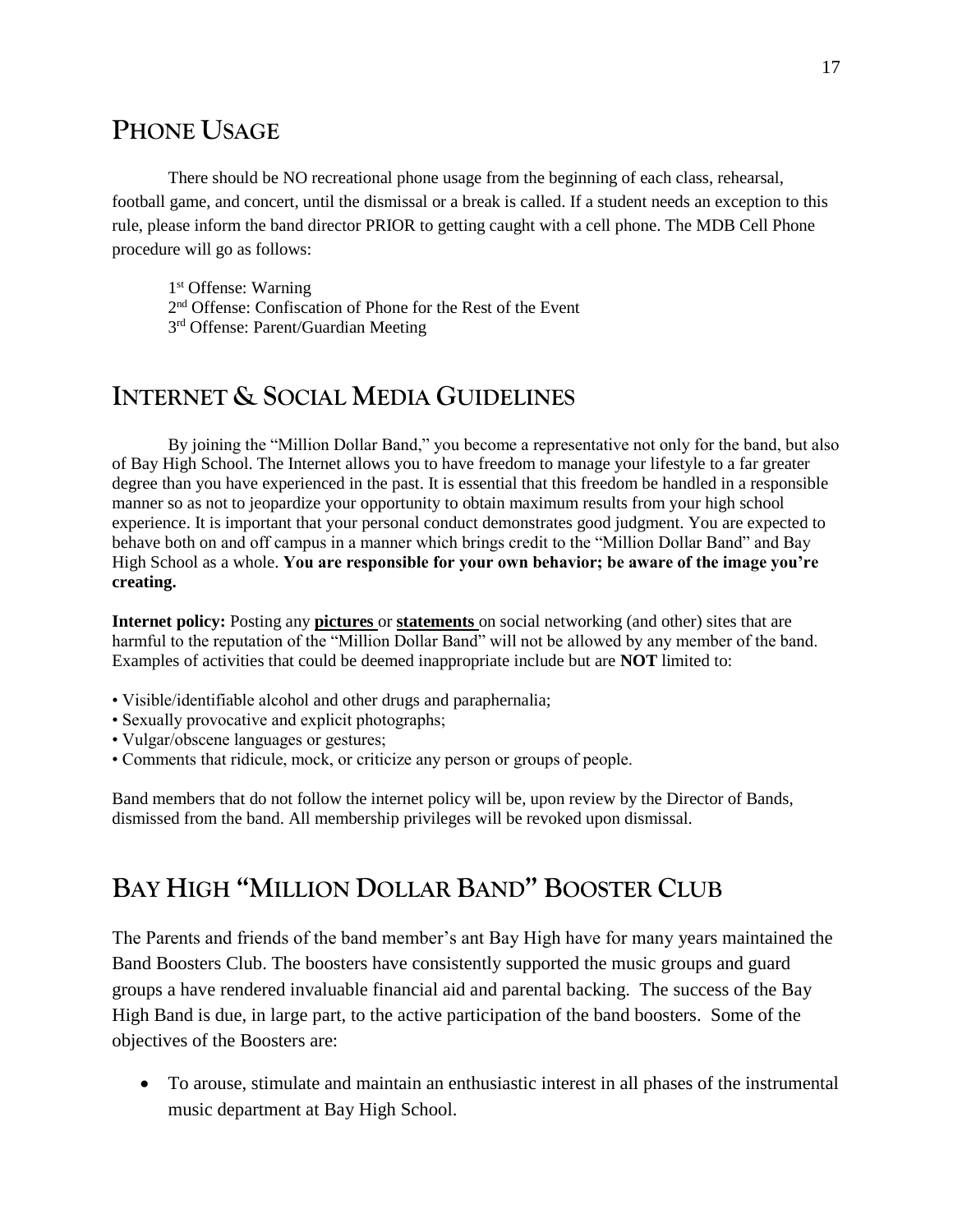## **PHONE USAGE**

There should be NO recreational phone usage from the beginning of each class, rehearsal, football game, and concert, until the dismissal or a break is called. If a student needs an exception to this rule, please inform the band director PRIOR to getting caught with a cell phone. The MDB Cell Phone procedure will go as follows:

1<sup>st</sup> Offense: Warning

2<sup>nd</sup> Offense: Confiscation of Phone for the Rest of the Event

3<sup>rd</sup> Offense: Parent/Guardian Meeting

## **INTERNET & SOCIAL MEDIA GUIDELINES**

By joining the "Million Dollar Band," you become a representative not only for the band, but also of Bay High School. The Internet allows you to have freedom to manage your lifestyle to a far greater degree than you have experienced in the past. It is essential that this freedom be handled in a responsible manner so as not to jeopardize your opportunity to obtain maximum results from your high school experience. It is important that your personal conduct demonstrates good judgment. You are expected to behave both on and off campus in a manner which brings credit to the "Million Dollar Band" and Bay High School as a whole. **You are responsible for your own behavior; be aware of the image you're creating.** 

**Internet policy:** Posting any **pictures** or **statements** on social networking (and other) sites that are harmful to the reputation of the "Million Dollar Band" will not be allowed by any member of the band. Examples of activities that could be deemed inappropriate include but are **NOT** limited to:

- Visible/identifiable alcohol and other drugs and paraphernalia;
- Sexually provocative and explicit photographs;
- Vulgar/obscene languages or gestures;
- Comments that ridicule, mock, or criticize any person or groups of people.

Band members that do not follow the internet policy will be, upon review by the Director of Bands, dismissed from the band. All membership privileges will be revoked upon dismissal.

## **BAY HIGH "MILLION DOLLAR BAND" BOOSTER CLUB**

The Parents and friends of the band member's ant Bay High have for many years maintained the Band Boosters Club. The boosters have consistently supported the music groups and guard groups a have rendered invaluable financial aid and parental backing. The success of the Bay High Band is due, in large part, to the active participation of the band boosters. Some of the objectives of the Boosters are:

• To arouse, stimulate and maintain an enthusiastic interest in all phases of the instrumental music department at Bay High School.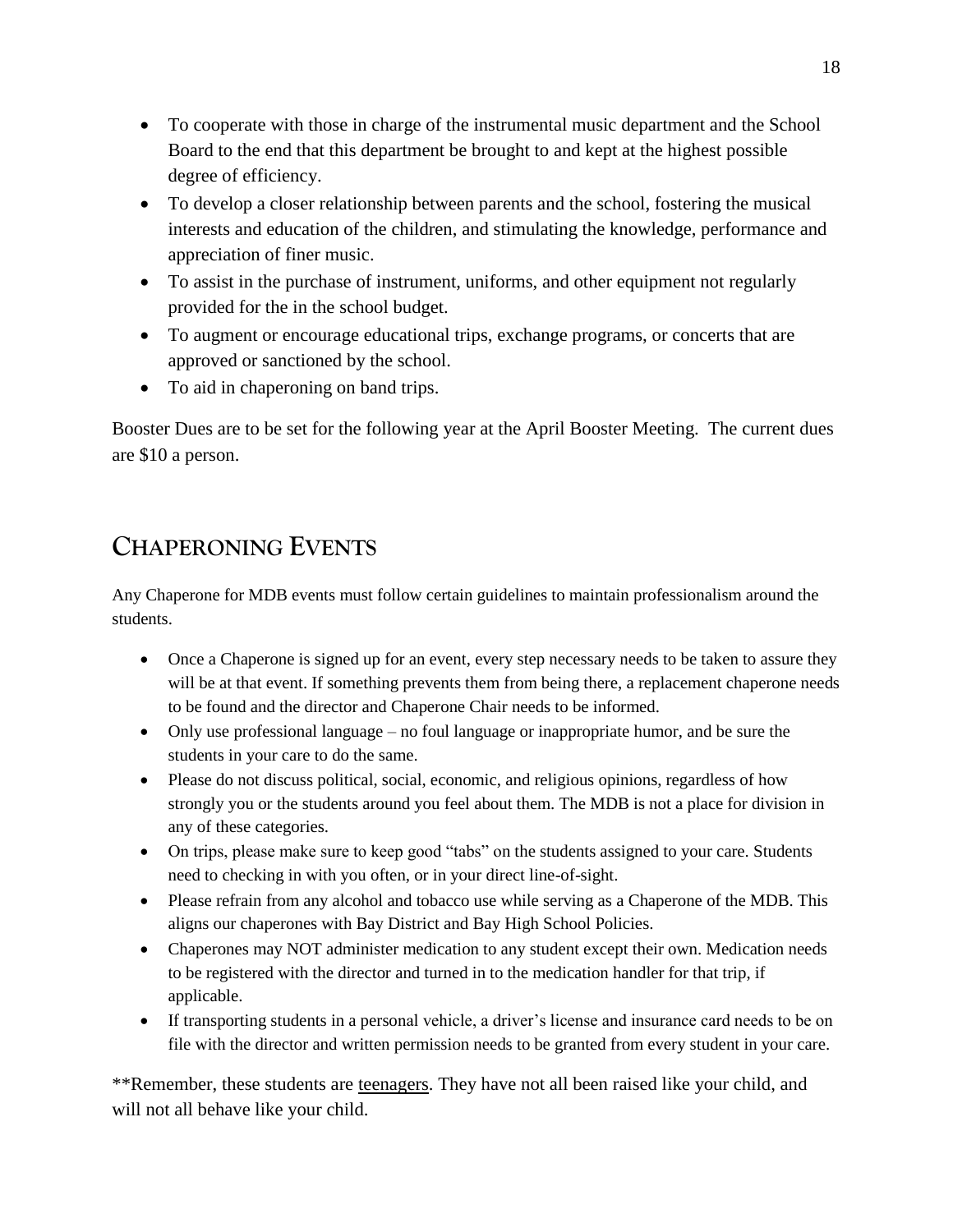- To cooperate with those in charge of the instrumental music department and the School Board to the end that this department be brought to and kept at the highest possible degree of efficiency.
- To develop a closer relationship between parents and the school, fostering the musical interests and education of the children, and stimulating the knowledge, performance and appreciation of finer music.
- To assist in the purchase of instrument, uniforms, and other equipment not regularly provided for the in the school budget.
- To augment or encourage educational trips, exchange programs, or concerts that are approved or sanctioned by the school.
- To aid in chaperoning on band trips.

Booster Dues are to be set for the following year at the April Booster Meeting. The current dues are \$10 a person.

# **CHAPERONING EVENTS**

Any Chaperone for MDB events must follow certain guidelines to maintain professionalism around the students.

- Once a Chaperone is signed up for an event, every step necessary needs to be taken to assure they will be at that event. If something prevents them from being there, a replacement chaperone needs to be found and the director and Chaperone Chair needs to be informed.
- Only use professional language no foul language or inappropriate humor, and be sure the students in your care to do the same.
- Please do not discuss political, social, economic, and religious opinions, regardless of how strongly you or the students around you feel about them. The MDB is not a place for division in any of these categories.
- On trips, please make sure to keep good "tabs" on the students assigned to your care. Students need to checking in with you often, or in your direct line-of-sight.
- Please refrain from any alcohol and tobacco use while serving as a Chaperone of the MDB. This aligns our chaperones with Bay District and Bay High School Policies.
- Chaperones may NOT administer medication to any student except their own. Medication needs to be registered with the director and turned in to the medication handler for that trip, if applicable.
- If transporting students in a personal vehicle, a driver's license and insurance card needs to be on file with the director and written permission needs to be granted from every student in your care.

\*\*Remember, these students are teenagers. They have not all been raised like your child, and will not all behave like your child.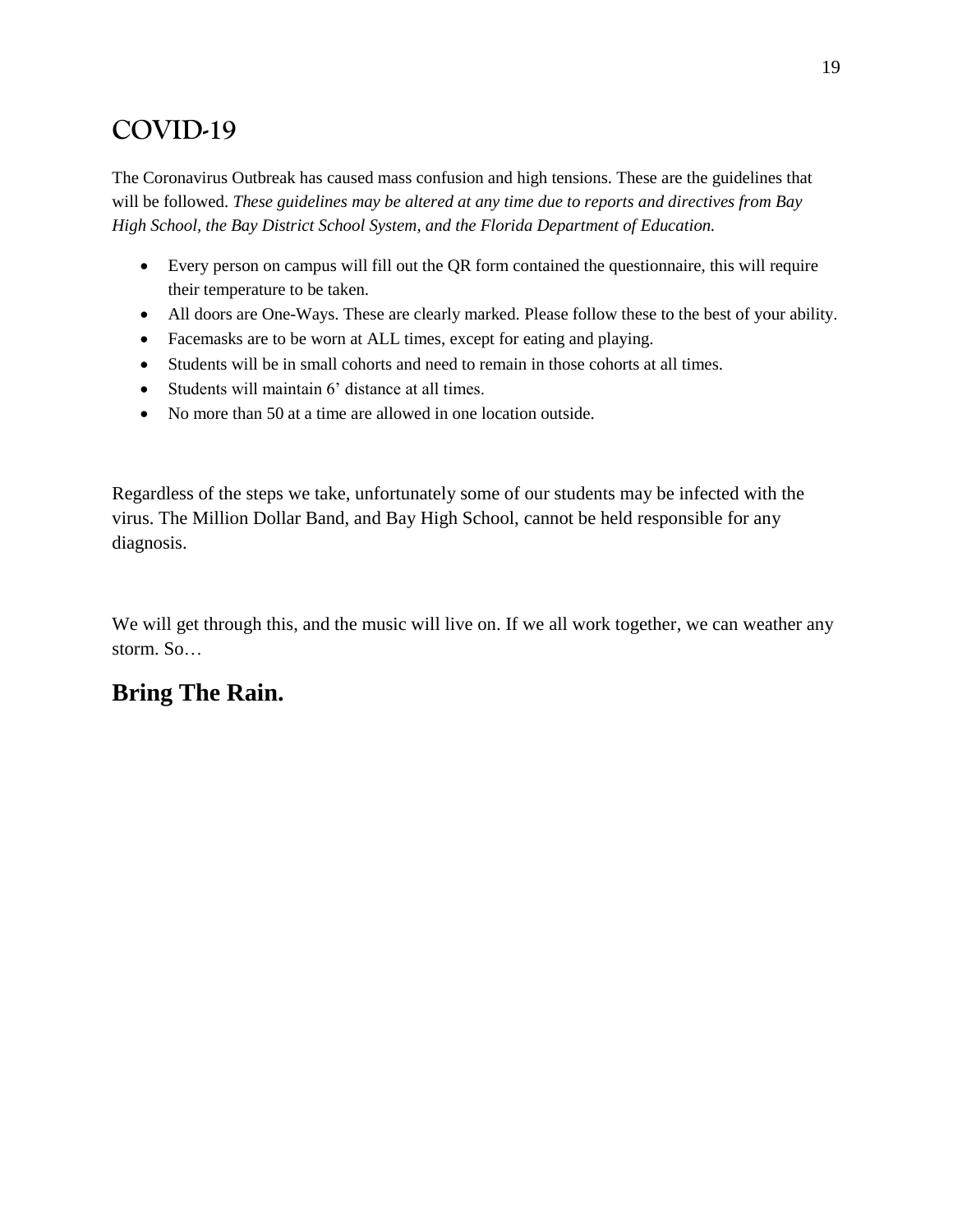# **COVID-19**

The Coronavirus Outbreak has caused mass confusion and high tensions. These are the guidelines that will be followed. *These guidelines may be altered at any time due to reports and directives from Bay High School, the Bay District School System, and the Florida Department of Education.*

- Every person on campus will fill out the QR form contained the questionnaire, this will require their temperature to be taken.
- All doors are One-Ways. These are clearly marked. Please follow these to the best of your ability.
- Facemasks are to be worn at ALL times, except for eating and playing.
- Students will be in small cohorts and need to remain in those cohorts at all times.
- Students will maintain 6' distance at all times.
- No more than 50 at a time are allowed in one location outside.

Regardless of the steps we take, unfortunately some of our students may be infected with the virus. The Million Dollar Band, and Bay High School, cannot be held responsible for any diagnosis.

We will get through this, and the music will live on. If we all work together, we can weather any storm. So…

## **Bring The Rain.**